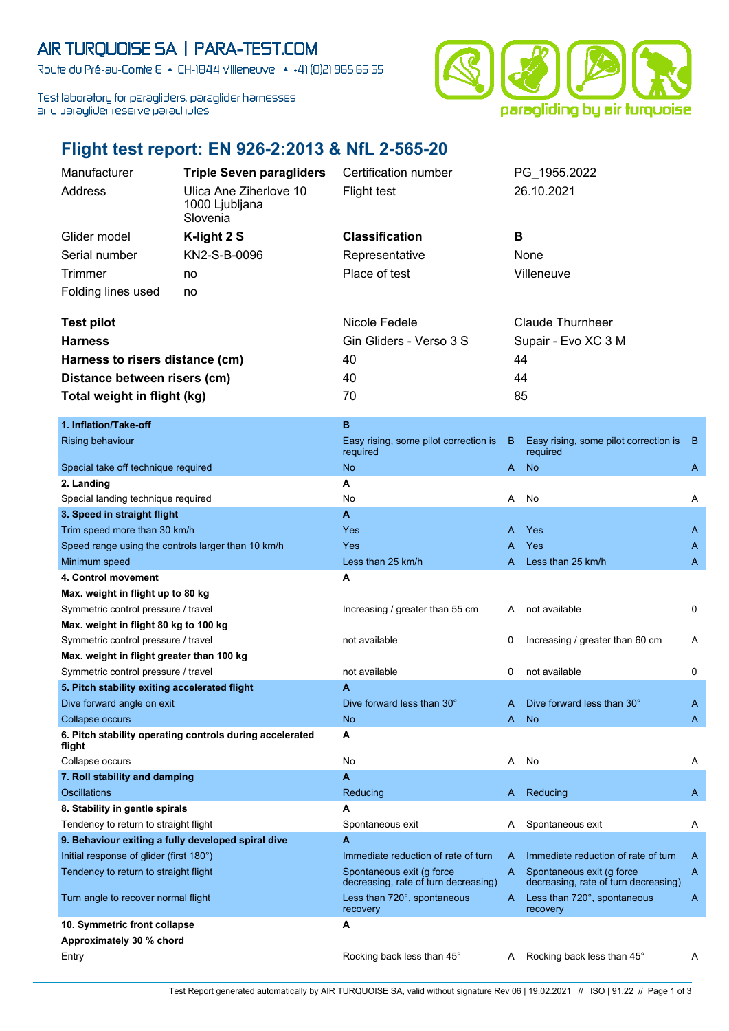## AIR TURQUOISE SA | PARA-TEST.COM

Route du Pré-au-Comte 8 & CH-1844 Villeneuve | 4 +41 (0)21 965 65 65

Test laboratory for paragliders, paraglider harnesses and paraglider reserve parachutes



## **Flight test report: EN 926-2:2013 & NfL 2-565-20**

| Manufacturer<br><b>Triple Seven paragliders</b>                              |                                                          | Certification number                                              |    | PG 1955.2022                                                      |     |  |
|------------------------------------------------------------------------------|----------------------------------------------------------|-------------------------------------------------------------------|----|-------------------------------------------------------------------|-----|--|
| Address                                                                      | Ulica Ane Ziherlove 10                                   | <b>Flight test</b>                                                |    | 26.10.2021                                                        |     |  |
|                                                                              | 1000 Ljubljana                                           |                                                                   |    |                                                                   |     |  |
|                                                                              | Slovenia                                                 |                                                                   |    |                                                                   |     |  |
| Glider model                                                                 | K-light 2 S                                              | <b>Classification</b>                                             | в  |                                                                   |     |  |
| Serial number                                                                | KN2-S-B-0096                                             | Representative                                                    |    | None                                                              |     |  |
| Trimmer                                                                      | no                                                       | Place of test                                                     |    | Villeneuve                                                        |     |  |
| Folding lines used<br>no                                                     |                                                          |                                                                   |    |                                                                   |     |  |
|                                                                              |                                                          |                                                                   |    |                                                                   |     |  |
| <b>Test pilot</b>                                                            |                                                          | Nicole Fedele                                                     |    | <b>Claude Thurnheer</b>                                           |     |  |
| <b>Harness</b>                                                               |                                                          | Gin Gliders - Verso 3 S                                           |    | Supair - Evo XC 3 M                                               |     |  |
| Harness to risers distance (cm)                                              |                                                          | 40                                                                |    | 44                                                                |     |  |
| Distance between risers (cm)                                                 |                                                          | 40                                                                |    | 44                                                                |     |  |
| Total weight in flight (kg)                                                  |                                                          | 70                                                                |    | 85                                                                |     |  |
|                                                                              |                                                          |                                                                   |    |                                                                   |     |  |
| 1. Inflation/Take-off                                                        |                                                          | в                                                                 |    |                                                                   |     |  |
| Rising behaviour                                                             |                                                          | Easy rising, some pilot correction is                             | B  | Easy rising, some pilot correction is                             | - B |  |
|                                                                              |                                                          | required                                                          |    | required                                                          |     |  |
| Special take off technique required                                          |                                                          | <b>No</b>                                                         | A. | <b>No</b>                                                         | A   |  |
| 2. Landing                                                                   |                                                          | А                                                                 |    |                                                                   |     |  |
| Special landing technique required                                           |                                                          | No                                                                | A  | No                                                                | Α   |  |
| 3. Speed in straight flight                                                  |                                                          | A                                                                 |    |                                                                   |     |  |
| Trim speed more than 30 km/h                                                 |                                                          | Yes                                                               | A  | Yes                                                               | A   |  |
| Speed range using the controls larger than 10 km/h                           |                                                          | Yes                                                               | A  | Yes                                                               | A   |  |
| Minimum speed                                                                |                                                          | Less than 25 km/h                                                 | A  | Less than 25 km/h                                                 | A   |  |
| 4. Control movement                                                          |                                                          | A                                                                 |    |                                                                   |     |  |
| Max. weight in flight up to 80 kg<br>Symmetric control pressure / travel     |                                                          | Increasing / greater than 55 cm                                   | A  | not available                                                     | 0   |  |
|                                                                              |                                                          |                                                                   |    |                                                                   |     |  |
| Max. weight in flight 80 kg to 100 kg<br>Symmetric control pressure / travel |                                                          | not available                                                     | 0  | Increasing / greater than 60 cm                                   | A   |  |
| Max. weight in flight greater than 100 kg                                    |                                                          |                                                                   |    |                                                                   |     |  |
| Symmetric control pressure / travel                                          |                                                          | not available                                                     | 0  | not available                                                     | 0   |  |
| 5. Pitch stability exiting accelerated flight                                |                                                          | Α                                                                 |    |                                                                   |     |  |
| Dive forward angle on exit                                                   |                                                          | Dive forward less than 30°                                        | A  | Dive forward less than 30°                                        | Α   |  |
| <b>Collapse occurs</b>                                                       |                                                          | No                                                                | A  | <b>No</b>                                                         | A   |  |
| flight                                                                       | 6. Pitch stability operating controls during accelerated | А                                                                 |    |                                                                   |     |  |
| Collapse occurs                                                              |                                                          | No                                                                | A  | No                                                                | Α   |  |
| 7. Roll stability and damping                                                |                                                          | A                                                                 |    |                                                                   |     |  |
| <b>Oscillations</b>                                                          |                                                          | Reducing                                                          | A  | Reducing                                                          | A   |  |
| 8. Stability in gentle spirals                                               |                                                          | А                                                                 |    |                                                                   |     |  |
| Tendency to return to straight flight                                        |                                                          | Spontaneous exit                                                  | A  | Spontaneous exit                                                  | A   |  |
| 9. Behaviour exiting a fully developed spiral dive                           |                                                          | A                                                                 |    |                                                                   |     |  |
| Initial response of glider (first 180°)                                      |                                                          | Immediate reduction of rate of turn                               | A  | Immediate reduction of rate of turn                               | A   |  |
| Tendency to return to straight flight                                        |                                                          | Spontaneous exit (q force<br>decreasing, rate of turn decreasing) | A  | Spontaneous exit (g force<br>decreasing, rate of turn decreasing) | A   |  |
| Turn angle to recover normal flight                                          |                                                          | Less than 720°, spontaneous<br>recovery                           | A  | Less than 720°, spontaneous<br>recovery                           | A   |  |
| 10. Symmetric front collapse                                                 |                                                          | А                                                                 |    |                                                                   |     |  |
| Approximately 30 % chord                                                     |                                                          |                                                                   |    |                                                                   |     |  |
| Entry                                                                        |                                                          | Rocking back less than 45°                                        | A  | Rocking back less than 45°                                        | A   |  |
|                                                                              |                                                          |                                                                   |    |                                                                   |     |  |

Test Report generated automatically by AIR TURQUOISE SA, valid without signature Rev 06 | 19.02.2021 // ISO | 91.22 // Page 1 of 3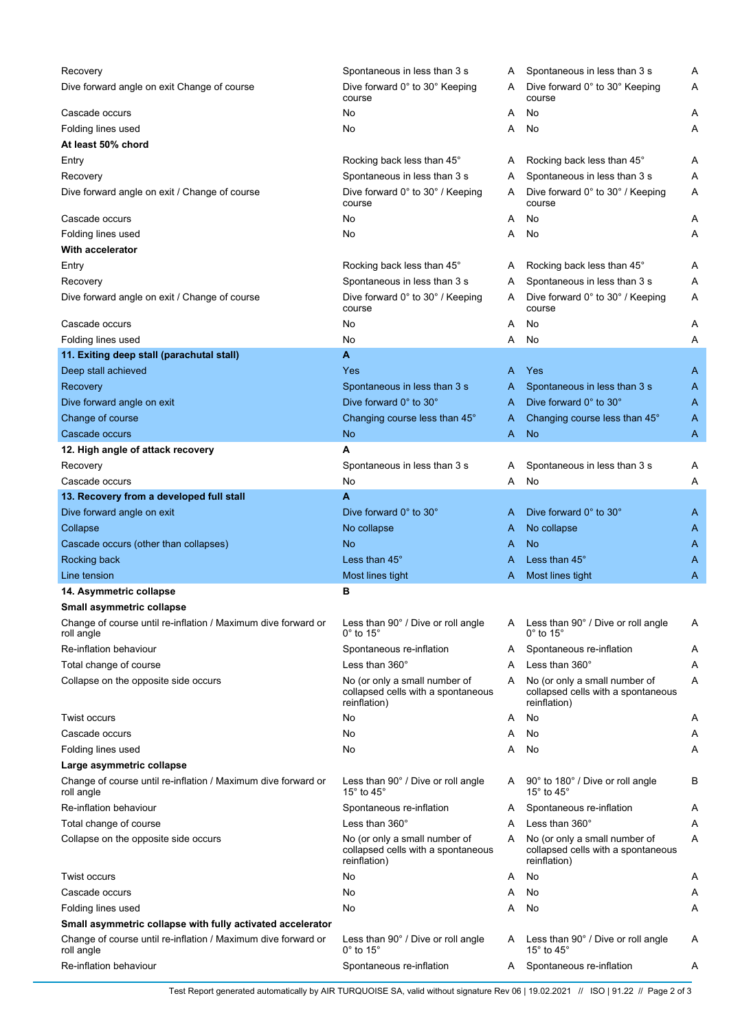| Recovery                                                                    | Spontaneous in less than 3 s                                                        | Α | Spontaneous in less than 3 s                                                        | Α |
|-----------------------------------------------------------------------------|-------------------------------------------------------------------------------------|---|-------------------------------------------------------------------------------------|---|
| Dive forward angle on exit Change of course                                 | Dive forward 0° to 30° Keeping<br>course                                            | A | Dive forward 0° to 30° Keeping<br>course                                            | Α |
| Cascade occurs                                                              | No                                                                                  | Α | No                                                                                  | Α |
| Folding lines used                                                          | No                                                                                  | Α | No                                                                                  | Α |
| At least 50% chord                                                          |                                                                                     |   |                                                                                     |   |
| Entry                                                                       | Rocking back less than 45°                                                          | A | Rocking back less than 45°                                                          | Α |
| Recovery                                                                    | Spontaneous in less than 3 s                                                        | Α | Spontaneous in less than 3 s                                                        | Α |
| Dive forward angle on exit / Change of course                               | Dive forward 0° to 30° / Keeping<br>course                                          | A | Dive forward 0° to 30° / Keeping<br>course                                          | Α |
| Cascade occurs                                                              | No                                                                                  | Α | No                                                                                  | A |
| Folding lines used                                                          | No                                                                                  | Α | No                                                                                  | Α |
| With accelerator                                                            |                                                                                     |   |                                                                                     |   |
| Entry                                                                       | Rocking back less than 45°                                                          | A | Rocking back less than 45°                                                          | Α |
| Recovery                                                                    | Spontaneous in less than 3 s                                                        | Α | Spontaneous in less than 3 s                                                        | Α |
| Dive forward angle on exit / Change of course                               | Dive forward 0° to 30° / Keeping<br>course                                          | A | Dive forward 0° to 30° / Keeping<br>course                                          | Α |
| Cascade occurs                                                              | No                                                                                  | Α | No                                                                                  | Α |
| Folding lines used                                                          | No                                                                                  | Α | No                                                                                  | Α |
|                                                                             | A                                                                                   |   |                                                                                     |   |
| 11. Exiting deep stall (parachutal stall)                                   |                                                                                     |   |                                                                                     |   |
| Deep stall achieved                                                         | Yes                                                                                 | A | Yes                                                                                 | A |
| Recovery                                                                    | Spontaneous in less than 3 s                                                        | A | Spontaneous in less than 3 s                                                        | A |
| Dive forward angle on exit                                                  | Dive forward 0° to 30°                                                              | A | Dive forward 0° to 30°                                                              | A |
| Change of course                                                            | Changing course less than 45°                                                       | A | Changing course less than 45°                                                       | A |
| Cascade occurs                                                              | <b>No</b>                                                                           | Α | <b>No</b>                                                                           | A |
| 12. High angle of attack recovery                                           | A                                                                                   |   |                                                                                     |   |
| Recovery                                                                    | Spontaneous in less than 3 s                                                        | Α | Spontaneous in less than 3 s                                                        | Α |
| Cascade occurs                                                              | No                                                                                  | Α | No                                                                                  | Α |
| 13. Recovery from a developed full stall                                    | A                                                                                   |   |                                                                                     |   |
| Dive forward angle on exit                                                  | Dive forward 0° to 30°                                                              | A | Dive forward 0° to 30°                                                              | A |
| Collapse                                                                    | No collapse                                                                         | A | No collapse                                                                         | A |
| Cascade occurs (other than collapses)                                       | <b>No</b>                                                                           | A | <b>No</b>                                                                           | A |
| Rocking back                                                                | Less than 45°                                                                       | A | Less than 45°                                                                       | A |
| Line tension                                                                | Most lines tight                                                                    | A | Most lines tight                                                                    | Α |
| 14. Asymmetric collapse                                                     | в                                                                                   |   |                                                                                     |   |
| Small asymmetric collapse                                                   |                                                                                     |   |                                                                                     |   |
| Change of course until re-inflation / Maximum dive forward or<br>roll angle | Less than 90° / Dive or roll angle<br>$0^\circ$ to 15 $^\circ$                      | A | Less than 90° / Dive or roll angle<br>$0^\circ$ to 15 $^\circ$                      | Α |
| Re-inflation behaviour                                                      | Spontaneous re-inflation                                                            | A | Spontaneous re-inflation                                                            | Α |
| Total change of course                                                      | Less than $360^\circ$                                                               | Α | Less than 360°                                                                      | Α |
| Collapse on the opposite side occurs                                        | No (or only a small number of                                                       | A | No (or only a small number of                                                       | Α |
|                                                                             | collapsed cells with a spontaneous<br>reinflation)                                  |   | collapsed cells with a spontaneous<br>reinflation)                                  |   |
| Twist occurs                                                                | No                                                                                  | Α | No                                                                                  | A |
| Cascade occurs                                                              | No                                                                                  | Α | No                                                                                  | A |
| Folding lines used                                                          | No                                                                                  | Α | No                                                                                  | Α |
| Large asymmetric collapse                                                   |                                                                                     |   |                                                                                     |   |
| Change of course until re-inflation / Maximum dive forward or<br>roll angle | Less than 90° / Dive or roll angle<br>15° to 45°                                    | A | 90° to 180° / Dive or roll angle<br>15° to 45°                                      | В |
| Re-inflation behaviour                                                      | Spontaneous re-inflation                                                            | A | Spontaneous re-inflation                                                            | A |
| Total change of course                                                      | Less than 360°                                                                      | Α | Less than 360°                                                                      | Α |
| Collapse on the opposite side occurs                                        | No (or only a small number of<br>collapsed cells with a spontaneous<br>reinflation) | A | No (or only a small number of<br>collapsed cells with a spontaneous<br>reinflation) | Α |
| Twist occurs                                                                | No                                                                                  | Α | No                                                                                  | A |
| Cascade occurs                                                              | No                                                                                  | Α | No                                                                                  | A |
| Folding lines used                                                          | No                                                                                  | Α | No                                                                                  | Α |
| Small asymmetric collapse with fully activated accelerator                  |                                                                                     |   |                                                                                     |   |
| Change of course until re-inflation / Maximum dive forward or<br>roll angle | Less than 90° / Dive or roll angle<br>$0^\circ$ to 15 $^\circ$                      | A | Less than 90° / Dive or roll angle<br>15 $\degree$ to 45 $\degree$                  | Α |
| Re-inflation behaviour                                                      | Spontaneous re-inflation                                                            | A | Spontaneous re-inflation                                                            | A |